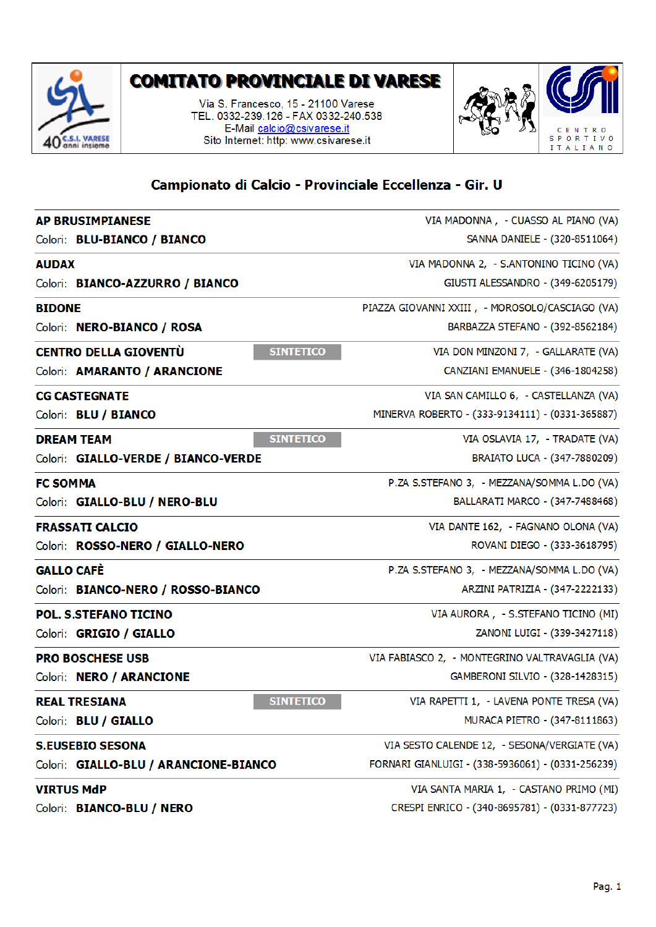

## **COMITATO PROVINCIALE DI VARESE**

Via S. Francesco, 15 - 21100 Varese TEL. 0332-239.126 - FAX 0332-240.538 E-Mail calcio@csivarese.it Sito Internet: http: www.csivarese.it



## Campionato di Calcio - Provinciale Eccellenza - Gir. U

| <b>AP BRUSIMPIANESE</b>                          | VIA MADONNA, - CUASSO AL PIANO (VA)               |
|--------------------------------------------------|---------------------------------------------------|
| Colori: BLU-BIANCO / BIANCO                      | SANNA DANIELE - (320-8511064)                     |
| <b>AUDAX</b>                                     | VIA MADONNA 2, - S.ANTONINO TICINO (VA)           |
| Colori: BIANCO-AZZURRO / BIANCO                  | GIUSTI ALESSANDRO - (349-6205179)                 |
| <b>BIDONE</b>                                    | PIAZZA GIOVANNI XXIII, - MOROSOLO/CASCIAGO (VA)   |
| Colori: NERO-BIANCO / ROSA                       | BARBAZZA STEFANO - (392-8562184)                  |
| <b>CENTRO DELLA GIOVENTÙ</b><br><b>SINTETICO</b> | VIA DON MINZONI 7, - GALLARATE (VA)               |
| Colori: AMARANTO / ARANCIONE                     | CANZIANI EMANUELE - (346-1804258)                 |
| <b>CG CASTEGNATE</b>                             | VIA SAN CAMILLO 6, - CASTELLANZA (VA)             |
| Colori: BLU / BIANCO                             | MINERVA ROBERTO - (333-9134111) - (0331-365887)   |
| <b>SINTETICO</b><br><b>DREAM TEAM</b>            | VIA OSLAVIA 17, - TRADATE (VA)                    |
| Colori: GIALLO-VERDE / BIANCO-VERDE              | BRAIATO LUCA - (347-7880209)                      |
| <b>FC SOMMA</b>                                  | P.ZA S.STEFANO 3, - MEZZANA/SOMMA L.DO (VA)       |
| Colori: GIALLO-BLU / NERO-BLU                    | BALLARATI MARCO - (347-7488468)                   |
| <b>FRASSATI CALCIO</b>                           | VIA DANTE 162, - FAGNANO OLONA (VA)               |
| Colori: ROSSO-NERO / GIALLO-NERO                 | ROVANI DIEGO - (333-3618795)                      |
| <b>GALLO CAFÈ</b>                                | P.ZA S.STEFANO 3, - MEZZANA/SOMMA L.DO (VA)       |
| Colori: BIANCO-NERO / ROSSO-BIANCO               | ARZINI PATRIZIA - (347-2222133)                   |
| <b>POL. S.STEFANO TICINO</b>                     | VIA AURORA, - S.STEFANO TICINO (MI)               |
| Colori: GRIGIO / GIALLO                          | ZANONI LUIGI - (339-3427118)                      |
| <b>PRO BOSCHESE USB</b>                          | VIA FABIASCO 2, - MONTEGRINO VALTRAVAGLIA (VA)    |
| Colori: NERO / ARANCIONE                         | GAMBERONI SILVIO - (328-1428315)                  |
| <b>SINTETICO</b><br><b>REAL TRESIANA</b>         | VIA RAPETTI 1, - LAVENA PONTE TRESA (VA)          |
| Colori: BLU / GIALLO                             | MURACA PIETRO - (347-8111863)                     |
| <b>S.EUSEBIO SESONA</b>                          | VIA SESTO CALENDE 12, - SESONA/VERGIATE (VA)      |
| Colori: GIALLO-BLU / ARANCIONE-BIANCO            | FORNARI GIANLUIGI - (338-5936061) - (0331-256239) |
| <b>VIRTUS MdP</b>                                | VIA SANTA MARIA 1, - CASTANO PRIMO (MI)           |
| Colori: BIANCO-BLU / NERO                        | CRESPI ENRICO - (340-8695781) - (0331-877723)     |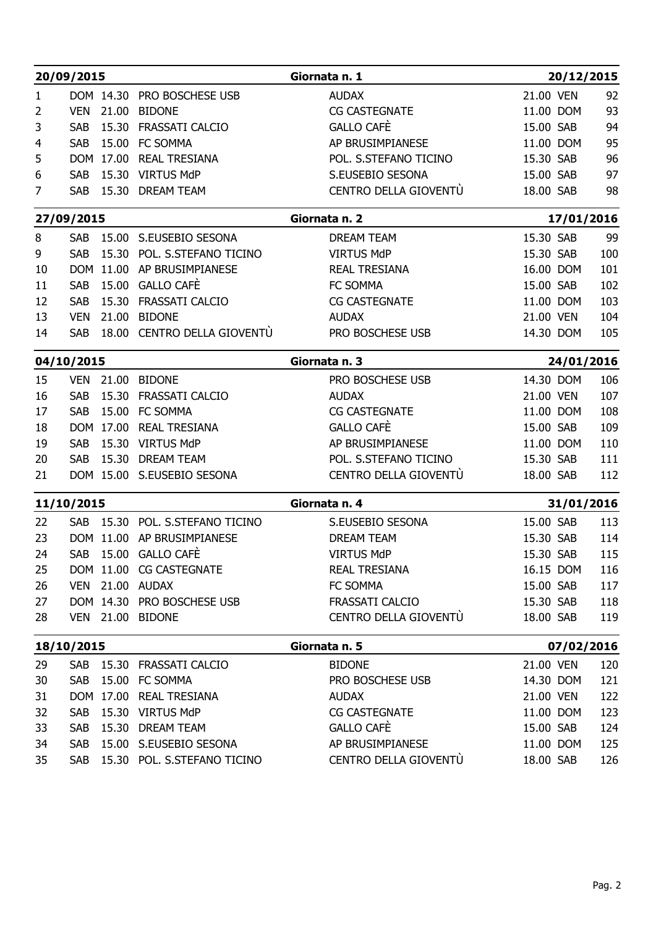|          | 20/09/2015                  |           |                                             | Giornata n. 1                 |                        | 20/12/2015 |            |
|----------|-----------------------------|-----------|---------------------------------------------|-------------------------------|------------------------|------------|------------|
| 1        |                             |           | DOM 14.30 PRO BOSCHESE USB                  | <b>AUDAX</b>                  | 21.00 VEN              |            | 92         |
| 2        | <b>VEN</b>                  |           | 21.00 BIDONE                                | <b>CG CASTEGNATE</b>          | 11.00 DOM              |            | 93         |
| 3        | <b>SAB</b>                  |           | 15.30 FRASSATI CALCIO                       | GALLO CAFÈ                    | 15.00 SAB              |            | 94         |
| 4        | <b>SAB</b>                  |           | 15.00 FC SOMMA                              | AP BRUSIMPIANESE              | 11.00 DOM              |            | 95         |
| 5        |                             | DOM 17.00 | <b>REAL TRESIANA</b>                        | POL. S.STEFANO TICINO         | 15.30 SAB              |            | 96         |
| 6        | <b>SAB</b>                  |           | 15.30 VIRTUS MdP                            | S.EUSEBIO SESONA              | 15.00 SAB              |            | 97         |
| 7        | <b>SAB</b>                  |           | 15.30 DREAM TEAM                            | CENTRO DELLA GIOVENTU         | 18.00 SAB              |            | 98         |
|          | 27/09/2015                  |           |                                             | Giornata n. 2                 |                        | 17/01/2016 |            |
| 8        | <b>SAB</b>                  |           | 15.00 S.EUSEBIO SESONA                      | <b>DREAM TEAM</b>             | 15.30 SAB              |            | 99         |
| 9        | <b>SAB</b>                  |           | 15.30 POL. S.STEFANO TICINO                 | <b>VIRTUS MdP</b>             | 15.30 SAB              |            | 100        |
| 10       |                             | DOM 11.00 | AP BRUSIMPIANESE                            | <b>REAL TRESIANA</b>          | 16.00 DOM              |            | 101        |
| 11       | <b>SAB</b>                  |           | 15.00 GALLO CAFÈ                            | FC SOMMA                      | 15.00 SAB              |            | 102        |
| 12       | <b>SAB</b>                  | 15.30     | FRASSATI CALCIO                             | <b>CG CASTEGNATE</b>          | 11.00 DOM              |            | 103        |
| 13       | <b>VEN</b>                  | 21.00     | <b>BIDONE</b>                               | <b>AUDAX</b>                  | 21.00 VEN              |            | 104        |
| 14       | <b>SAB</b>                  |           | 18.00 CENTRO DELLA GIOVENTÙ                 | PRO BOSCHESE USB              | 14.30 DOM              |            | 105        |
|          | 04/10/2015                  |           |                                             | Giornata n. 3                 |                        | 24/01/2016 |            |
| 15       | <b>VEN</b>                  | 21.00     | <b>BIDONE</b>                               | PRO BOSCHESE USB              | 14.30 DOM              |            | 106        |
| 16<br>17 | <b>SAB</b>                  |           | 15.30 FRASSATI CALCIO<br>SAB 15.00 FC SOMMA | <b>AUDAX</b><br>CG CASTEGNATE | 21.00 VEN              |            | 107        |
| 18       |                             |           | DOM 17.00 REAL TRESIANA                     | GALLO CAFÈ                    | 11.00 DOM<br>15.00 SAB |            | 108<br>109 |
| 19       |                             |           | SAB 15.30 VIRTUS MdP                        | AP BRUSIMPIANESE              | 11.00 DOM              |            | 110        |
| 20       |                             |           | SAB 15.30 DREAM TEAM                        | POL. S.STEFANO TICINO         | 15.30 SAB              |            | 111        |
| 21       |                             |           | DOM 15.00 S.EUSEBIO SESONA                  | CENTRO DELLA GIOVENTÙ         | 18.00 SAB              |            | 112        |
|          | 11/10/2015                  |           |                                             | Giornata n. 4                 |                        | 31/01/2016 |            |
| 22       |                             |           | SAB 15.30 POL. S.STEFANO TICINO             | S.EUSEBIO SESONA              | 15.00 SAB              |            | 113        |
| 23       |                             |           | DOM 11.00 AP BRUSIMPIANESE                  | <b>DREAM TEAM</b>             | 15.30 SAB              |            | 114        |
| 24       |                             |           | SAB 15.00 GALLO CAFÈ                        | <b>VIRTUS MdP</b>             | 15.30 SAB              |            | 115        |
| 25       |                             |           | DOM 11.00 CG CASTEGNATE                     | <b>REAL TRESIANA</b>          | 16.15 DOM              |            | 116        |
| 26       |                             |           | VEN 21.00 AUDAX                             | FC SOMMA                      | 15.00 SAB              |            | 117        |
| 27       |                             |           | DOM 14.30 PRO BOSCHESE USB                  | FRASSATI CALCIO               | 15.30 SAB              |            | 118        |
| 28       |                             |           | VEN 21.00 BIDONE                            | CENTRO DELLA GIOVENTÙ         | 18.00 SAB              |            | 119        |
|          | Giornata n. 5<br>18/10/2015 |           |                                             | 07/02/2016                    |                        |            |            |
| 29       |                             |           | SAB 15.30 FRASSATI CALCIO                   | <b>BIDONE</b>                 | 21.00 VEN              |            | 120        |
| 30       |                             |           | SAB 15.00 FC SOMMA                          | PRO BOSCHESE USB              | 14.30 DOM              |            | 121        |
| 31       |                             |           | DOM 17.00 REAL TRESIANA                     | <b>AUDAX</b>                  | 21.00 VEN              |            | 122        |
| 32       | <b>SAB</b>                  |           | 15.30 VIRTUS MdP                            | <b>CG CASTEGNATE</b>          | 11.00 DOM              |            | 123        |
| 33       | <b>SAB</b><br><b>SAB</b>    |           | 15.30 DREAM TEAM                            | GALLO CAFÈ                    | 15.00 SAB              |            | 124        |
| 34       |                             |           | 15.00 S.EUSEBIO SESONA                      | AP BRUSIMPIANESE              | 11.00 DOM              |            | 125        |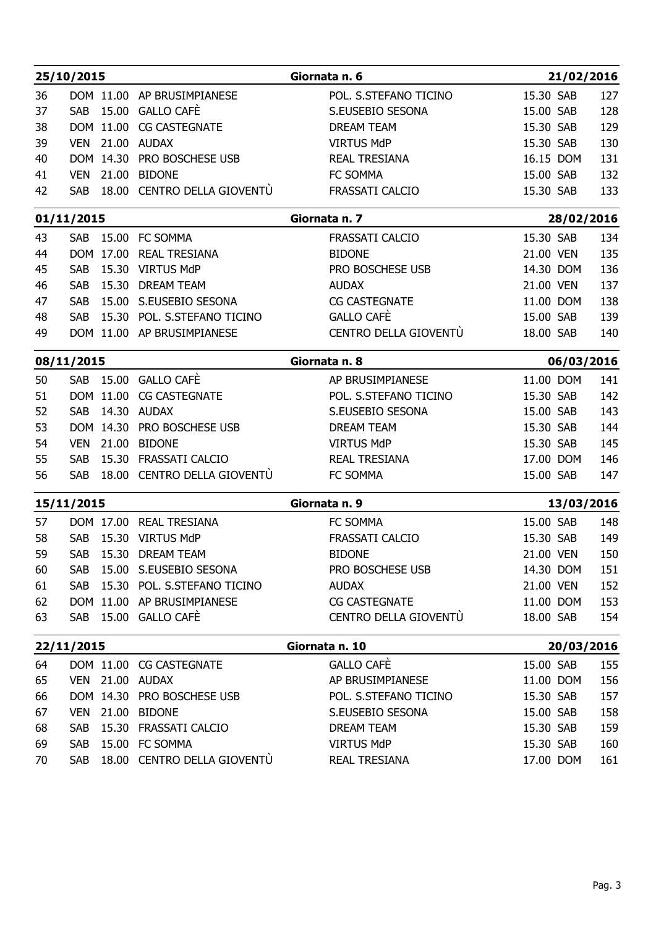|          | 25/10/2015                   |                             |                                                    | Giornata n. 6                                    | 21/02/2016             |            |
|----------|------------------------------|-----------------------------|----------------------------------------------------|--------------------------------------------------|------------------------|------------|
| 36       |                              |                             | DOM 11.00 AP BRUSIMPIANESE                         | POL. S.STEFANO TICINO                            | 15.30 SAB              | 127        |
| 37       | <b>SAB</b>                   |                             | 15.00 GALLO CAFÈ                                   | S.EUSEBIO SESONA                                 | 15.00 SAB              | 128        |
| 38       |                              | DOM 11.00                   | <b>CG CASTEGNATE</b>                               | <b>DREAM TEAM</b>                                | 15.30 SAB              | 129        |
| 39       | <b>VEN</b>                   |                             | 21.00 AUDAX                                        | <b>VIRTUS MdP</b>                                | 15.30 SAB              | 130        |
| 40       |                              |                             | DOM 14.30 PRO BOSCHESE USB                         | <b>REAL TRESIANA</b>                             | 16.15 DOM              | 131        |
| 41       | <b>VEN</b>                   |                             | 21.00 BIDONE                                       | FC SOMMA                                         | 15.00 SAB              | 132        |
| 42       | <b>SAB</b>                   |                             | 18.00 CENTRO DELLA GIOVENTU                        | FRASSATI CALCIO                                  | 15.30 SAB              | 133        |
|          |                              | 01/11/2015<br>Giornata n. 7 |                                                    | 28/02/2016                                       |                        |            |
| 43       | <b>SAB</b>                   |                             | 15.00 FC SOMMA                                     | FRASSATI CALCIO                                  | 15.30 SAB              | 134        |
| 44       |                              | DOM 17.00                   | <b>REAL TRESIANA</b>                               | <b>BIDONE</b>                                    | 21.00 VEN              | 135        |
| 45       | <b>SAB</b>                   |                             | 15.30 VIRTUS MdP                                   | PRO BOSCHESE USB                                 | 14.30 DOM              | 136        |
| 46       | <b>SAB</b>                   | 15.30                       | <b>DREAM TEAM</b>                                  | <b>AUDAX</b>                                     | 21.00 VEN              | 137        |
| 47       | <b>SAB</b>                   |                             | 15.00 S.EUSEBIO SESONA                             | <b>CG CASTEGNATE</b>                             | 11.00 DOM              | 138        |
| 48       | <b>SAB</b>                   |                             | 15.30 POL. S.STEFANO TICINO                        | GALLO CAFÈ                                       | 15.00 SAB              | 139        |
| 49       |                              |                             | DOM 11.00 AP BRUSIMPIANESE                         | CENTRO DELLA GIOVENTÙ                            | 18.00 SAB              | 140        |
|          | 08/11/2015                   |                             |                                                    | Giornata n. 8                                    | 06/03/2016             |            |
| 50       | <b>SAB</b>                   |                             | 15.00 GALLO CAFE                                   | AP BRUSIMPIANESE                                 | 11.00 DOM              | 141        |
| 51<br>52 |                              |                             | DOM 11.00 CG CASTEGNATE<br>SAB 14.30 AUDAX         | POL. S.STEFANO TICINO<br>S.EUSEBIO SESONA        | 15.30 SAB<br>15.00 SAB | 142<br>143 |
| 53       |                              |                             | DOM 14.30 PRO BOSCHESE USB                         | DREAM TEAM                                       | 15.30 SAB              | 144        |
| 54       |                              |                             | VEN 21.00 BIDONE                                   | <b>VIRTUS MdP</b>                                | 15.30 SAB              | 145        |
| 55       |                              |                             | SAB 15.30 FRASSATI CALCIO                          | <b>REAL TRESIANA</b>                             | 17.00 DOM              | 146        |
| 56       |                              |                             | SAB 18.00 CENTRO DELLA GIOVENTÙ                    | FC SOMMA                                         | 15.00 SAB              | 147        |
|          | 15/11/2015                   |                             |                                                    | Giornata n. 9 <u>___________________________</u> | 13/03/2016             |            |
| 57       |                              |                             | DOM 17.00 REAL TRESIANA                            | FC SOMMA                                         | 15.00 SAB              | 148        |
| 58       |                              |                             | SAB 15.30 VIRTUS MdP                               | FRASSATI CALCIO                                  | 15.30 SAB              | 149        |
| 59       |                              |                             | SAB 15.30 DREAM TEAM                               | <b>BIDONE</b>                                    | 21.00 VEN              | 150        |
| 60       | <b>SAB</b>                   |                             | 15.00 S.EUSEBIO SESONA                             | PRO BOSCHESE USB                                 | 14.30 DOM              | 151        |
| 61       |                              |                             | SAB 15.30 POL. S.STEFANO TICINO                    | AUDAX                                            | 21.00 VEN              | 152        |
| 62       |                              |                             | DOM 11.00 AP BRUSIMPIANESE<br>SAB 15.00 GALLO CAFE | CG CASTEGNATE<br>CENTRO DELLA GIOVENTÙ           | 11.00 DOM              | 153        |
| 63       |                              |                             |                                                    |                                                  | 18.00 SAB              | 154        |
|          | 22/11/2015<br>Giornata n. 10 |                             | 20/03/2016                                         |                                                  |                        |            |
| 64       |                              |                             | DOM 11.00 CG CASTEGNATE                            | <b>GALLO CAFÈ</b>                                | 15.00 SAB              | 155        |
| 65       |                              |                             | VEN 21.00 AUDAX<br>DOM 14.30 PRO BOSCHESE USB      | AP BRUSIMPIANESE<br>POL. S.STEFANO TICINO        | 11.00 DOM              | 156<br>157 |
| 66<br>67 |                              |                             | VEN 21.00 BIDONE                                   | S.EUSEBIO SESONA                                 | 15.30 SAB<br>15.00 SAB | 158        |
| 68       | <b>SAB</b>                   |                             | 15.30 FRASSATI CALCIO                              | DREAM TEAM                                       | 15.30 SAB              | 159        |
| 69       | <b>SAB</b>                   |                             | 15.00 FC SOMMA                                     | <b>VIRTUS MdP</b>                                | 15.30 SAB              | 160        |
| 70       | <b>SAB</b>                   |                             | 18.00 CENTRO DELLA GIOVENTÙ                        | <b>REAL TRESIANA</b>                             | 17.00 DOM              | 161        |